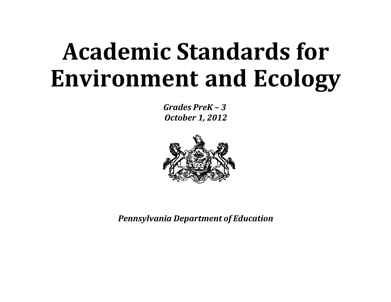# **Academic Standards for Environment and Ecology**

 *Grades PreK – 3 October 1, 2012*



*Pennsylvania Department of Education*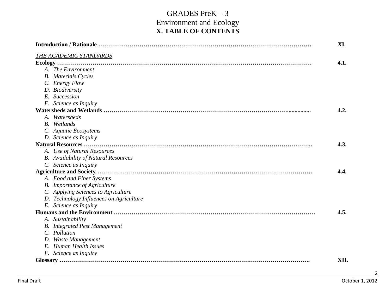#### GRADES PreK – 3 Environment and Ecology **X. TABLE OF CONTENTS**

|                                             | XI.  |
|---------------------------------------------|------|
| <b>THE ACADEMIC STANDARDS</b>               |      |
|                                             | 4.1. |
| A. The Environment                          |      |
| <b>B.</b> Materials Cycles                  |      |
| C. Energy Flow                              |      |
| D. Biodiversity                             |      |
| E. Succession                               |      |
| F. Science as Inquiry                       |      |
|                                             | 4.2. |
| A. Watersheds                               |      |
| <b>B.</b> Wetlands                          |      |
| C. Aquatic Ecosystems                       |      |
| D. Science as Inquiry                       |      |
|                                             | 4.3. |
| A. Use of Natural Resources                 |      |
| <b>B.</b> Availability of Natural Resources |      |
| C. Science as Inquiry                       |      |
|                                             | 4.4. |
| A. Food and Fiber Systems                   |      |
| <b>B.</b> Importance of Agriculture         |      |
| C. Applying Sciences to Agriculture         |      |
| D. Technology Influences on Agriculture     |      |
| E. Science as Inquiry                       |      |
|                                             | 4.5. |
| A. Sustainability                           |      |
| <b>B.</b> Integrated Pest Management        |      |
| C. Pollution                                |      |
| D. Waste Management                         |      |
| E. Human Health Issues                      |      |
| F. Science as Inquiry                       |      |
|                                             | XII. |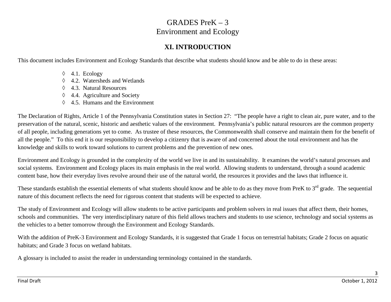#### **XI. INTRODUCTION**

This document includes Environment and Ecology Standards that describe what students should know and be able to do in these areas:

- ◊ 4.1. Ecology
- ◊ 4.2. Watersheds and Wetlands
- ◊ 4.3. Natural Resources
- ◊ 4.4. Agriculture and Society
- ◊ 4.5. Humans and the Environment

The Declaration of Rights, Article 1 of the Pennsylvania Constitution states in Section 27: "The people have a right to clean air, pure water, and to the preservation of the natural, scenic, historic and aesthetic values of the environment. Pennsylvania's public natural resources are the common property of all people, including generations yet to come. As trustee of these resources, the Commonwealth shall conserve and maintain them for the benefit of all the people." To this end it is our responsibility to develop a citizenry that is aware of and concerned about the total environment and has the knowledge and skills to work toward solutions to current problems and the prevention of new ones.

Environment and Ecology is grounded in the complexity of the world we live in and its sustainability. It examines the world's natural processes and social systems. Environment and Ecology places its main emphasis in the real world. Allowing students to understand, through a sound academic content base, how their everyday lives revolve around their use of the natural world, the resources it provides and the laws that influence it.

These standards establish the essential elements of what students should know and be able to do as they move from PreK to  $3<sup>rd</sup>$  grade. The sequential nature of this document reflects the need for rigorous content that students will be expected to achieve.

The study of Environment and Ecology will allow students to be active participants and problem solvers in real issues that affect them, their homes, schools and communities. The very interdisciplinary nature of this field allows teachers and students to use science, technology and social systems as the vehicles to a better tomorrow through the Environment and Ecology Standards.

With the addition of PreK-3 Environment and Ecology Standards, it is suggested that Grade 1 focus on terrestrial habitats; Grade 2 focus on aquatic habitats; and Grade 3 focus on wetland habitats.

A glossary is included to assist the reader in understanding terminology contained in the standards.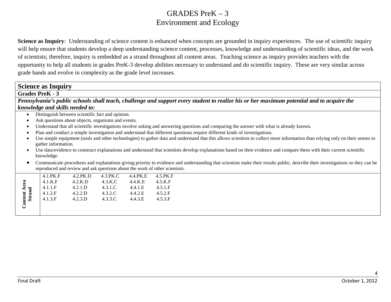**Science as Inquiry**: Understanding of science content is enhanced when concepts are grounded in inquiry experiences. The use of scientific inquiry will help ensure that students develop a deep understanding science content, processes, knowledge and understanding of scientific ideas, and the work of scientists; therefore, inquiry is embedded as a strand throughout all content areas. Teaching science as inquiry provides teachers with the opportunity to help all students in grades PreK-3 develop abilities necessary to understand and do scientific inquiry. These are very similar across grade bands and evolve in complexity as the grade level increases.

#### **Science as Inquiry**

#### **Grades PreK - 3**

*Pennsylvania's public schools shall teach, challenge and support every student to realize his or her maximum potential and to acquire the knowledge and skills needed to:*

- Distinguish between scientific fact and opinion.
- Ask questions about objects, organisms and events.
- Understand that all scientific investigations involve asking and answering questions and comparing the answer with what is already known.
- Plan and conduct a simple investigation and understand that different questions require different kinds of investigations.
- Use simple equipment (tools and other technologies) to gather data and understand that this allows scientists to collect more information than relying only on their senses to gather information.
- Use data/evidence to construct explanations and understand that scientists develop explanations based on their evidence and compare them with their current scientific knowledge.
- Communicate procedures and explanations giving priority to evidence and understanding that scientists make their results public, describe their investigations so they can be reproduced and review and ask questions about the work of other scientists.

|              | $4.1$ PK F        | $4.2$ PK D | 4.3.PK.C | 4.4.PK.E          | 4.5.PK.F |
|--------------|-------------------|------------|----------|-------------------|----------|
| B            | 4.1.K.F           | $4.2$ .K.D | 4.3.K.C  | $4.4$ K E         | 4.5.K.F  |
|              | $4.1.1 \text{ F}$ | 4.2.1.D    | 4.3.1.C  | $4.4.1 \text{ E}$ | 4.5.1.F  |
| $\mathbf{m}$ | $4.1.2 \text{ F}$ | 4.2.2.D    | 4.3.2.C  | 4.4.2 E           | 4.5.2.F  |
| Strand       | 4.1.3.F           | 4.2.3.D    | 4.3.3.C  | 4.4.3.E           | 4.5.3.F  |
| Cont         |                   |            |          |                   |          |
|              |                   |            |          |                   |          |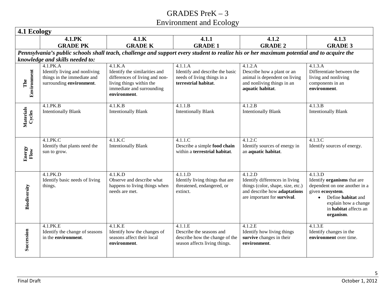|                     | 4.1.PK                                                                                   | 4.1.K                                                                                                                                    | 4.1.1                                                                                                                                     | 4.1.2                                                                                                                                         | 4.1.3                                                                                                                                                                                        |
|---------------------|------------------------------------------------------------------------------------------|------------------------------------------------------------------------------------------------------------------------------------------|-------------------------------------------------------------------------------------------------------------------------------------------|-----------------------------------------------------------------------------------------------------------------------------------------------|----------------------------------------------------------------------------------------------------------------------------------------------------------------------------------------------|
|                     | <b>GRADE PK</b>                                                                          | <b>GRADE K</b>                                                                                                                           | <b>GRADE 1</b>                                                                                                                            | <b>GRADE 2</b>                                                                                                                                | <b>GRADE 3</b>                                                                                                                                                                               |
|                     |                                                                                          |                                                                                                                                          | Pennsylvania's public schools shall teach, challenge and support every student to realize his or her maximum potential and to acquire the |                                                                                                                                               |                                                                                                                                                                                              |
|                     | knowledge and skills needed to:<br>4.1.PK.A                                              | 4.1.K.A                                                                                                                                  | 4.1.1.A                                                                                                                                   | 4.1.2.A                                                                                                                                       | 4.1.3.A                                                                                                                                                                                      |
| Environment<br>The  | Identify living and nonliving<br>things in the immediate and<br>surrounding environment. | Identify the similarities and<br>differences of living and non-<br>living things within the<br>immediate and surrounding<br>environment. | Identify and describe the basic<br>needs of living things in a<br>terrestrial habitat.                                                    | Describe how a plant or an<br>animal is dependent on living<br>and nonliving things in an<br>aquatic habitat.                                 | Differentiate between the<br>living and nonliving<br>components in an<br>environment.                                                                                                        |
| Materials<br>Cycles | 4.1.PK.B<br><b>Intentionally Blank</b>                                                   | 4.1.K.B<br><b>Intentionally Blank</b>                                                                                                    | 4.1.1.B<br><b>Intentionally Blank</b>                                                                                                     | 4.1.2.B<br><b>Intentionally Blank</b>                                                                                                         | 4.1.3.B<br><b>Intentionally Blank</b>                                                                                                                                                        |
| Energy<br>Flow      | 4.1.PK.C<br>Identify that plants need the<br>sun to grow.                                | 4.1.K.C<br><b>Intentionally Blank</b>                                                                                                    | 4.1.1.C<br>Describe a simple food chain<br>within a terrestrial habitat.                                                                  | 4.1.2.C<br>Identify sources of energy in<br>an aquatic habitat.                                                                               | 4.1.3.C<br>Identify sources of energy.                                                                                                                                                       |
| Biodiversity        | 4.1.PK.D<br>Identify basic needs of living<br>things.                                    | 4.1.K.D<br>Observe and describe what<br>happens to living things when<br>needs are met.                                                  | 4.1.1.D<br>Identify living things that are<br>threatened, endangered, or<br>extinct.                                                      | 4.1.2.D<br>Identify differences in living<br>things (color, shape, size, etc.)<br>and describe how adaptations<br>are important for survival. | 4.1.3.D<br>Identify organisms that are<br>dependent on one another in a<br>given ecosystem.<br>Define habitat and<br>$\bullet$<br>explain how a change<br>in habitat affects an<br>organism. |
| Succession          | 4.1.PK.E<br>Identify the change of seasons<br>in the environment.                        | 4.1.K.E<br>Identify how the changes of<br>seasons affect their local<br>environment.                                                     | 4.1.1.E<br>Describe the seasons and<br>describe how the change of the<br>season affects living things.                                    | 4.1.2.E<br>Identify how living things<br>survive changes in their<br>environment.                                                             | 4.1.3.E<br>Identify changes in the<br>environment over time.                                                                                                                                 |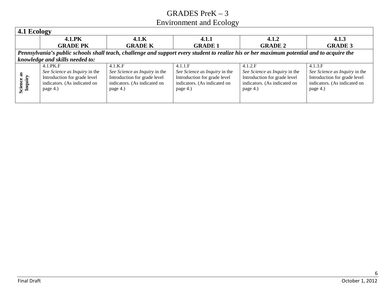| 4.1 Ecology           |                                 |                               |                               |                                                                                                                                           |                               |
|-----------------------|---------------------------------|-------------------------------|-------------------------------|-------------------------------------------------------------------------------------------------------------------------------------------|-------------------------------|
|                       | <b>4.1.PK</b>                   | 4.1.K                         | 4.1.1                         | 4.1.2                                                                                                                                     | 4.1.3                         |
|                       | <b>GRADE PK</b>                 | <b>GRADE K</b>                | <b>GRADE 1</b>                | <b>GRADE 2</b>                                                                                                                            | <b>GRADE 3</b>                |
|                       |                                 |                               |                               | Pennsylvania's public schools shall teach, challenge and support every student to realize his or her maximum potential and to acquire the |                               |
|                       | knowledge and skills needed to: |                               |                               |                                                                                                                                           |                               |
|                       | 4.1.PK.F                        | 4.1.K.F                       | 4.1.1.F                       | 4.1.2.F                                                                                                                                   | 4.1.3.F                       |
|                       | See Science as Inquiry in the   | See Science as Inquiry in the | See Science as Inquiry in the | See Science as Inquiry in the                                                                                                             | See Science as Inquiry in the |
|                       | Introduction for grade level    | Introduction for grade level  | Introduction for grade level  | Introduction for grade level                                                                                                              | Introduction for grade level  |
|                       | indicators. (As indicated on    | indicators. (As indicated on  | indicators. (As indicated on  | indicators. (As indicated on                                                                                                              | indicators. (As indicated on  |
| Science as<br>Inquiry | page 4.)                        | page 4.)                      | page 4.)                      | page 4.)                                                                                                                                  | page 4.)                      |
|                       |                                 |                               |                               |                                                                                                                                           |                               |
|                       |                                 |                               |                               |                                                                                                                                           |                               |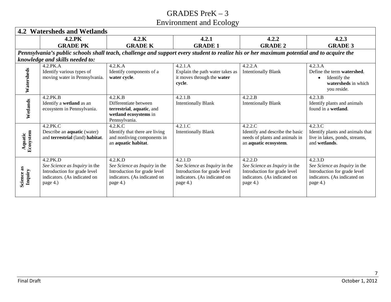|                       | <b>4.2 Watersheds and Wetlands</b>                                                                        |                                                                                                           |                                                                                                                                           |                                                                                                           |                                                                                                           |  |
|-----------------------|-----------------------------------------------------------------------------------------------------------|-----------------------------------------------------------------------------------------------------------|-------------------------------------------------------------------------------------------------------------------------------------------|-----------------------------------------------------------------------------------------------------------|-----------------------------------------------------------------------------------------------------------|--|
|                       | 4.2.PK                                                                                                    | 4.2.K                                                                                                     | 4.2.1                                                                                                                                     | 4.2.2                                                                                                     | 4.2.3                                                                                                     |  |
|                       | <b>GRADE PK</b>                                                                                           | <b>GRADE K</b>                                                                                            | <b>GRADE 1</b>                                                                                                                            | <b>GRADE 2</b>                                                                                            | <b>GRADE 3</b>                                                                                            |  |
|                       |                                                                                                           |                                                                                                           | Pennsylvania's public schools shall teach, challenge and support every student to realize his or her maximum potential and to acquire the |                                                                                                           |                                                                                                           |  |
|                       | knowledge and skills needed to:                                                                           |                                                                                                           |                                                                                                                                           |                                                                                                           |                                                                                                           |  |
|                       | 4.2.PK.A                                                                                                  | 4.2.K.A                                                                                                   | 4.2.1.A                                                                                                                                   | 4.2.2.A                                                                                                   | 4.2.3.A                                                                                                   |  |
| Watersheds            | Identify various types of<br>moving water in Pennsylvania.                                                | Identify components of a<br>water cycle.                                                                  | Explain the path water takes as<br>it moves through the water<br>cycle.                                                                   | <b>Intentionally Blank</b>                                                                                | Define the term watershed.<br>Identify the<br>$\bullet$<br>watersheds in which<br>you reside.             |  |
|                       | 4.2.PK.B                                                                                                  | 4.2.K.B                                                                                                   | 4.2.1.B                                                                                                                                   | 4.2.2.B                                                                                                   | 4.2.3.B                                                                                                   |  |
| Wetlands              | Identify a wetland as an<br>ecosystem in Pennsylvania.                                                    | Differentiate between<br>terrestrial, aquatic, and<br>wetland ecosystems in<br>Pennsylvania.              | <b>Intentionally Blank</b>                                                                                                                | <b>Intentionally Blank</b>                                                                                | Identify plants and animals<br>found in a wetland.                                                        |  |
|                       | 4.2.PK.C                                                                                                  | 4.2.K.C                                                                                                   | 4.2.1.C                                                                                                                                   | 4.2.2.C                                                                                                   | 4.2.3.C                                                                                                   |  |
| Aquatic<br>Ecosystem  | Describe an aquatic (water)<br>and terrestrial (land) habitat.                                            | Identify that there are living<br>and nonliving components in<br>an aquatic habitat.                      | <b>Intentionally Blank</b>                                                                                                                | Identify and describe the basic<br>needs of plants and animals in<br>an aquatic ecosystem.                | Identify plants and animals that<br>live in lakes, ponds, streams,<br>and wetlands.                       |  |
|                       | 4.2.PK.D                                                                                                  | 4.2.K.D                                                                                                   | 4.2.1.D                                                                                                                                   | 4.2.2.D                                                                                                   | 4.2.3.D                                                                                                   |  |
| Science as<br>Inquiry | See Science as Inquiry in the<br>Introduction for grade level<br>indicators. (As indicated on<br>page 4.) | See Science as Inquiry in the<br>Introduction for grade level<br>indicators. (As indicated on<br>page 4.) | See Science as Inquiry in the<br>Introduction for grade level<br>indicators. (As indicated on<br>page 4.)                                 | See Science as Inquiry in the<br>Introduction for grade level<br>indicators. (As indicated on<br>page 4.) | See Science as Inquiry in the<br>Introduction for grade level<br>indicators. (As indicated on<br>page 4.) |  |
|                       |                                                                                                           |                                                                                                           |                                                                                                                                           |                                                                                                           |                                                                                                           |  |
| <b>Final Draft</b>    |                                                                                                           |                                                                                                           |                                                                                                                                           |                                                                                                           | October 1, 2012                                                                                           |  |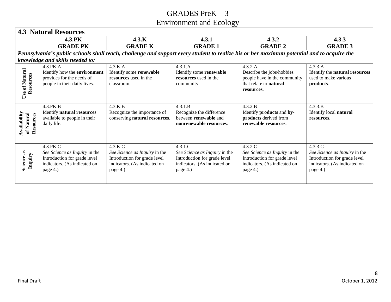|                                         | <b>4.3 Natural Resources</b>                                                                                          |                                                                                                                      |                                                                                                                      |                                                                                                                                           |                                                                                                                      |
|-----------------------------------------|-----------------------------------------------------------------------------------------------------------------------|----------------------------------------------------------------------------------------------------------------------|----------------------------------------------------------------------------------------------------------------------|-------------------------------------------------------------------------------------------------------------------------------------------|----------------------------------------------------------------------------------------------------------------------|
|                                         | 4.3.PK                                                                                                                | 4.3.K                                                                                                                | 4.3.1                                                                                                                | 4.3.2                                                                                                                                     | 4.3.3                                                                                                                |
|                                         | <b>GRADE PK</b>                                                                                                       | <b>GRADE K</b>                                                                                                       | <b>GRADE 1</b>                                                                                                       | <b>GRADE 2</b>                                                                                                                            | <b>GRADE 3</b>                                                                                                       |
|                                         |                                                                                                                       |                                                                                                                      |                                                                                                                      | Pennsylvania's public schools shall teach, challenge and support every student to realize his or her maximum potential and to acquire the |                                                                                                                      |
|                                         | knowledge and skills needed to:                                                                                       |                                                                                                                      |                                                                                                                      |                                                                                                                                           |                                                                                                                      |
| Use of Natural<br>Resources             | 4.3.PK.A<br>Identify how the environment<br>provides for the needs of<br>people in their daily lives.                 | 4.3.K.A<br>Identify some renewable<br>resources used in the<br>classroom.                                            | 4.3.1.A<br>Identify some renewable<br>resources used in the<br>community.                                            | 4.3.2.A<br>Describe the jobs/hobbies<br>people have in the community<br>that relate to natural<br>resources.                              | 4.3.3.A<br>Identify the natural resources<br>used to make various<br>products.                                       |
| Availability<br>of Natural<br>Resources | 4.3.PK.B<br>Identify natural resources<br>available to people in their<br>daily life.                                 | 4.3.K.B<br>Recognize the importance of<br>conserving natural resources.                                              | 4.3.1.B<br>Recognize the difference<br>between renewable and<br>nonrenewable resources.                              | 4.3.2.B<br>Identify products and by-<br>products derived from<br>renewable resources.                                                     | 4.3.3.B<br>Identify local natural<br>resources.                                                                      |
| Science as<br>Inquiry                   | 4.3.PK.C<br>See Science as Inquiry in the<br>Introduction for grade level<br>indicators. (As indicated on<br>page 4.) | 4.3.K.C<br>See Science as Inquiry in the<br>Introduction for grade level<br>indicators. (As indicated on<br>page 4.) | 4.3.1.C<br>See Science as Inquiry in the<br>Introduction for grade level<br>indicators. (As indicated on<br>page 4.) | 4.3.2.C<br>See Science as Inquiry in the<br>Introduction for grade level<br>indicators. (As indicated on<br>page 4.)                      | 4.3.3.C<br>See Science as Inquiry in the<br>Introduction for grade level<br>indicators. (As indicated on<br>page 4.) |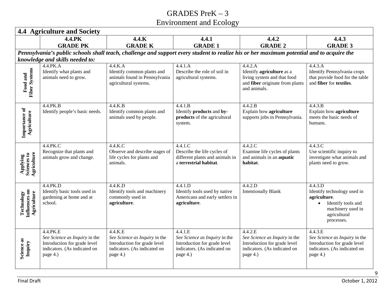|                                            | <b>4.4 Agriculture and Society</b>                                                                                    |                                                                                                                                           |                                                                                                                      |                                                                                                                      |                                                                                                                                 |
|--------------------------------------------|-----------------------------------------------------------------------------------------------------------------------|-------------------------------------------------------------------------------------------------------------------------------------------|----------------------------------------------------------------------------------------------------------------------|----------------------------------------------------------------------------------------------------------------------|---------------------------------------------------------------------------------------------------------------------------------|
|                                            | 4.4.PK                                                                                                                | 4.4.K                                                                                                                                     | 4.4.1                                                                                                                | 4.4.2                                                                                                                | 4.4.3                                                                                                                           |
|                                            | <b>GRADE PK</b>                                                                                                       | <b>GRADE K</b>                                                                                                                            | <b>GRADE 1</b>                                                                                                       | <b>GRADE 2</b>                                                                                                       | <b>GRADE 3</b>                                                                                                                  |
|                                            |                                                                                                                       | Pennsylvania's public schools shall teach, challenge and support every student to realize his or her maximum potential and to acquire the |                                                                                                                      |                                                                                                                      |                                                                                                                                 |
|                                            | knowledge and skills needed to:                                                                                       |                                                                                                                                           |                                                                                                                      |                                                                                                                      |                                                                                                                                 |
|                                            | 4.4.PK.A                                                                                                              | 4.4.K.A                                                                                                                                   | 4.4.1.A                                                                                                              | 4.4.2.A                                                                                                              | 4.4.3.A                                                                                                                         |
| <b>Fiber Systems</b><br>Food and           | Identify what plants and<br>animals need to grow.                                                                     | Identify common plants and<br>animals found in Pennsylvania<br>agricultural systems.                                                      | Describe the role of soil in<br>agricultural systems.                                                                | Identify <b>agriculture</b> as a<br>living system and that food<br>and fiber originate from plants<br>and animals.   | Identify Pennsylvania crops<br>that provide food for the table<br>and fiber for textiles.                                       |
| Importance of<br>Agriculture               | 4.4.PK.B<br>Identify people's basic needs.                                                                            | 4.4.K.B<br>Identify common plants and<br>animals used by people.                                                                          | 4.4.1.B<br>Identify products and by-<br>products of the agricultural<br>system.                                      | 4.4.2.B<br>Explain how agriculture<br>supports jobs in Pennsylvania.                                                 | 4.4.3.B<br>Explain how agriculture<br>meets the basic needs of<br>humans.                                                       |
| Applying<br>Sciences to<br>Agriculture     | 4.4.PK.C<br>Recognize that plants and<br>animals grow and change.                                                     | $4.4$ .K.C<br>Observe and describe stages of<br>life cycles for plants and<br>animals.                                                    | 4.4.1.C<br>Describe the life cycles of<br>different plants and animals in<br>a terrestrial habitat.                  | 4.4.2.C<br>Examine life cycles of plants<br>and animals in an aquatic<br>habitat.                                    | 4.4.3.C<br>Use scientific inquiry to<br>investigate what animals and<br>plants need to grow.                                    |
| Technology<br>Influences on<br>Agriculture | 4.4.PK.D<br>Identify basic tools used in<br>gardening at home and at<br>school.                                       | 4.4.K.D<br>Identify tools and machinery<br>commonly used in<br>agriculture.                                                               | 4.4.1.D<br>Identify tools used by native<br>Americans and early settlers in<br>agriculture.                          | 4.4.2.D<br><b>Intentionally Blank</b>                                                                                | 4.4.3.D<br>Identify technology used in<br>agriculture.<br>Identify tools and<br>machinery used in<br>agricultural<br>processes. |
| Science as<br>Inquiry                      | 4.4.PK.E<br>See Science as Inquiry in the<br>Introduction for grade level<br>indicators. (As indicated on<br>page 4.) | 4.4.K.E<br>See Science as Inquiry in the<br>Introduction for grade level<br>indicators. (As indicated on<br>page 4.)                      | 4.4.1.E<br>See Science as Inquiry in the<br>Introduction for grade level<br>indicators. (As indicated on<br>page 4.) | 4.4.2.E<br>See Science as Inquiry in the<br>Introduction for grade level<br>indicators. (As indicated on<br>page 4.) | 4.4.3.E<br>See Science as Inquiry in the<br>Introduction for grade level<br>indicators. (As indicated on<br>page 4.)            |
| <b>Final Draft</b>                         |                                                                                                                       |                                                                                                                                           |                                                                                                                      |                                                                                                                      | October 1, 2012                                                                                                                 |

9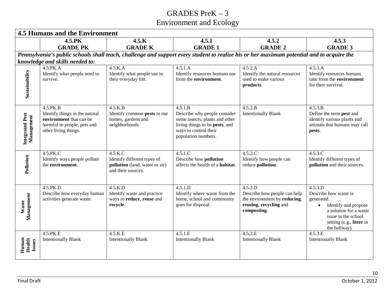|                               | <b>4.5 Humans and the Environment</b>                                                                                        |                                                                                                |                                                                                                                                                             |                                                                                                                  |                                                                                                                                                                                   |
|-------------------------------|------------------------------------------------------------------------------------------------------------------------------|------------------------------------------------------------------------------------------------|-------------------------------------------------------------------------------------------------------------------------------------------------------------|------------------------------------------------------------------------------------------------------------------|-----------------------------------------------------------------------------------------------------------------------------------------------------------------------------------|
|                               | 4.5.PK<br><b>GRADE PK</b>                                                                                                    | 4.5.K<br><b>GRADE K</b>                                                                        | 4.5.1<br><b>GRADE 1</b>                                                                                                                                     | 4.5.2<br><b>GRADE 2</b>                                                                                          | 4.5.3<br><b>GRADE 3</b>                                                                                                                                                           |
|                               |                                                                                                                              |                                                                                                | Pennsylvania's public schools shall teach, challenge and support every student to realize his or her maximum potential and to acquire the                   |                                                                                                                  |                                                                                                                                                                                   |
|                               | knowledge and skills needed to:                                                                                              |                                                                                                |                                                                                                                                                             |                                                                                                                  |                                                                                                                                                                                   |
| Sustainability                | 4.5.PK.A<br>Identify what people need to<br>survive.                                                                         | 4.5.K.A<br>Identify what people use in<br>their everyday life.                                 | 4.5.1.A<br>Identify resources humans use<br>from the environment.                                                                                           | 4.5.2.A<br>Identify the natural resources<br>used to make various<br>products.                                   | 4.5.3.A<br>Identify resources humans<br>take from the <b>environment</b><br>for their survival.                                                                                   |
| Integrated Pest<br>Management | 4.5.PK.B<br>Identify things in the natural<br>environment that can be<br>harmful to people, pets and<br>other living things. | 4.5.K.B<br>Identify common pests in our<br>homes, gardens and<br>neighborhoods.                | 4.5.1.B<br>Describe why people consider<br>some insects, plants and other<br>living things to be pests, and<br>ways to control their<br>population numbers. | 4.5.2.B<br><b>Intentionally Blank</b>                                                                            | 4.5.3.B<br>Define the term pest and<br>identify various plants and<br>animals that humans may call<br>pests.                                                                      |
| Pollution                     | 4.5.PK.C<br>Identify ways people pollute<br>the environment.                                                                 | 4.5.K.C<br>Identify different types of<br>pollution (land, water or air)<br>and their sources. | 4.5.1.C<br>Describe how pollution<br>affects the health of a habitat.                                                                                       | 4.5.2.C<br>Identify how people can<br>reduce pollution.                                                          | 4.5.3.C<br>Identify different types of<br>pollution and their sources.                                                                                                            |
| Management<br>Waste           | 4.5.PK.D<br>Describe how everyday human<br>activities generate waste.                                                        | 4.5.K.D<br>Identify waste and practice<br>ways to reduce, reuse and<br>recycle.                | 4.5.1.D<br>Identify where waste from the<br>home, school and community<br>goes for disposal.                                                                | 4.5.2.D<br>Describe how people can help<br>the environment by reducing,<br>reusing, recycling and<br>composting. | 4.5.3.D<br>Describe how waste is<br>generated.<br>Identify and propose<br>$\bullet$<br>a solution for a waste<br>issue in the school<br>setting (e.g., litter in<br>the hallway). |
| Human<br>Health<br>Issues     | 4.5.PK.E<br><b>Intentionally Blank</b>                                                                                       | 4.5.K.E<br><b>Intentionally Blank</b>                                                          | 4.5.1.E<br><b>Intentionally Blank</b>                                                                                                                       | 4.5.2.E<br><b>Intentionally Blank</b>                                                                            | 4.5.3.E<br><b>Intentionally Blank</b>                                                                                                                                             |
| <b>Final Draft</b>            |                                                                                                                              |                                                                                                |                                                                                                                                                             |                                                                                                                  | 10<br>October 1, 2012                                                                                                                                                             |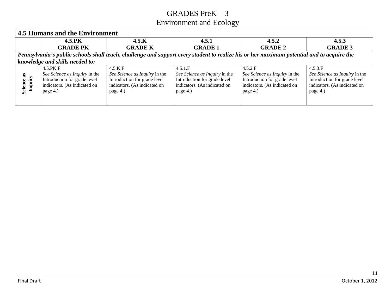|                           | 4.5 Humans and the Environment                                                                                                            |                                                                                                                         |                                                                                                                      |                                                                                                                      |                                                                                                                      |
|---------------------------|-------------------------------------------------------------------------------------------------------------------------------------------|-------------------------------------------------------------------------------------------------------------------------|----------------------------------------------------------------------------------------------------------------------|----------------------------------------------------------------------------------------------------------------------|----------------------------------------------------------------------------------------------------------------------|
|                           | 4.5.PK                                                                                                                                    | 4.5.K                                                                                                                   | 4.5.1                                                                                                                | 4.5.2                                                                                                                | 4.5.3                                                                                                                |
|                           | <b>GRADE PK</b>                                                                                                                           | <b>GRADE K</b>                                                                                                          | <b>GRADE 1</b>                                                                                                       | <b>GRADE 2</b>                                                                                                       | <b>GRADE 3</b>                                                                                                       |
|                           | Pennsylvania's public schools shall teach, challenge and support every student to realize his or her maximum potential and to acquire the |                                                                                                                         |                                                                                                                      |                                                                                                                      |                                                                                                                      |
|                           | knowledge and skills needed to:                                                                                                           |                                                                                                                         |                                                                                                                      |                                                                                                                      |                                                                                                                      |
| as<br>Inquiry<br>Science: | 4.5.PK.F<br>See Science as Inquiry in the<br>Introduction for grade level<br>indicators. (As indicated on<br>page 4.)                     | $4.5$ .K.F<br>See Science as Inquiry in the<br>Introduction for grade level<br>indicators. (As indicated on<br>page 4.) | 4.5.1.F<br>See Science as Inquiry in the<br>Introduction for grade level<br>indicators. (As indicated on<br>page 4.) | 4.5.2.F<br>See Science as Inquiry in the<br>Introduction for grade level<br>indicators. (As indicated on<br>page 4.) | 4.5.3.F<br>See Science as Inquiry in the<br>Introduction for grade level<br>indicators. (As indicated on<br>page 4.) |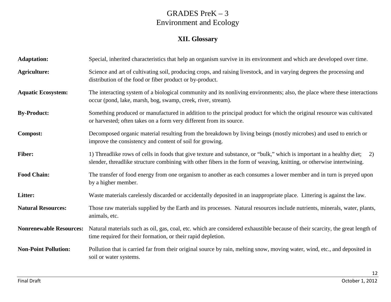#### **XII. Glossary**

| <b>Adaptation:</b>             | Special, inherited characteristics that help an organism survive in its environment and which are developed over time.                                                                                                                                 |
|--------------------------------|--------------------------------------------------------------------------------------------------------------------------------------------------------------------------------------------------------------------------------------------------------|
| <b>Agriculture:</b>            | Science and art of cultivating soil, producing crops, and raising livestock, and in varying degrees the processing and<br>distribution of the food or fiber product or by-product.                                                                     |
| <b>Aquatic Ecosystem:</b>      | The interacting system of a biological community and its nonliving environments; also, the place where these interactions<br>occur (pond, lake, marsh, bog, swamp, creek, river, stream).                                                              |
| <b>By-Product:</b>             | Something produced or manufactured in addition to the principal product for which the original resource was cultivated<br>or harvested; often takes on a form very different from its source.                                                          |
| <b>Compost:</b>                | Decomposed organic material resulting from the breakdown by living beings (mostly microbes) and used to enrich or<br>improve the consistency and content of soil for growing.                                                                          |
| <b>Fiber:</b>                  | 1) Threadlike rows of cells in foods that give texture and substance, or "bulk," which is important in a healthy diet;<br>2)<br>slender, threadlike structure combining with other fibers in the form of weaving, knitting, or otherwise intertwining. |
| <b>Food Chain:</b>             | The transfer of food energy from one organism to another as each consumes a lower member and in turn is preyed upon<br>by a higher member.                                                                                                             |
| Litter:                        | Waste materials carelessly discarded or accidentally deposited in an inappropriate place. Littering is against the law.                                                                                                                                |
| <b>Natural Resources:</b>      | Those raw materials supplied by the Earth and its processes. Natural resources include nutrients, minerals, water, plants,<br>animals, etc.                                                                                                            |
| <b>Nonrenewable Resources:</b> | Natural materials such as oil, gas, coal, etc. which are considered exhaustible because of their scarcity, the great length of<br>time required for their formation, or their rapid depletion.                                                         |
| <b>Non-Point Pollution:</b>    | Pollution that is carried far from their original source by rain, melting snow, moving water, wind, etc., and deposited in<br>soil or water systems.                                                                                                   |